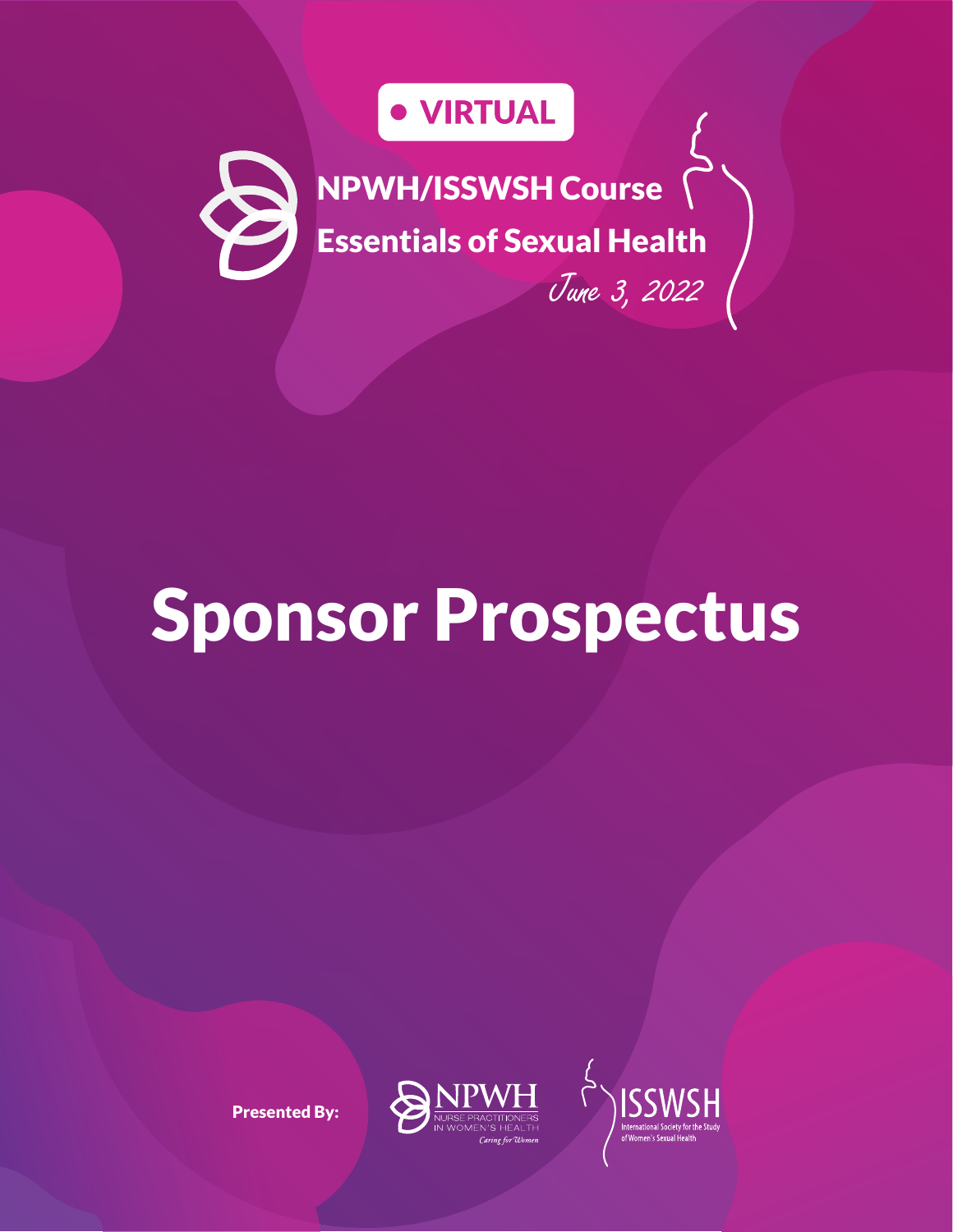# · VIRTUAL

NPWH/ISSWSH Course Essentials of Sexual Health

June 3, 2022

# Sponsor Prospectus

Presented By:



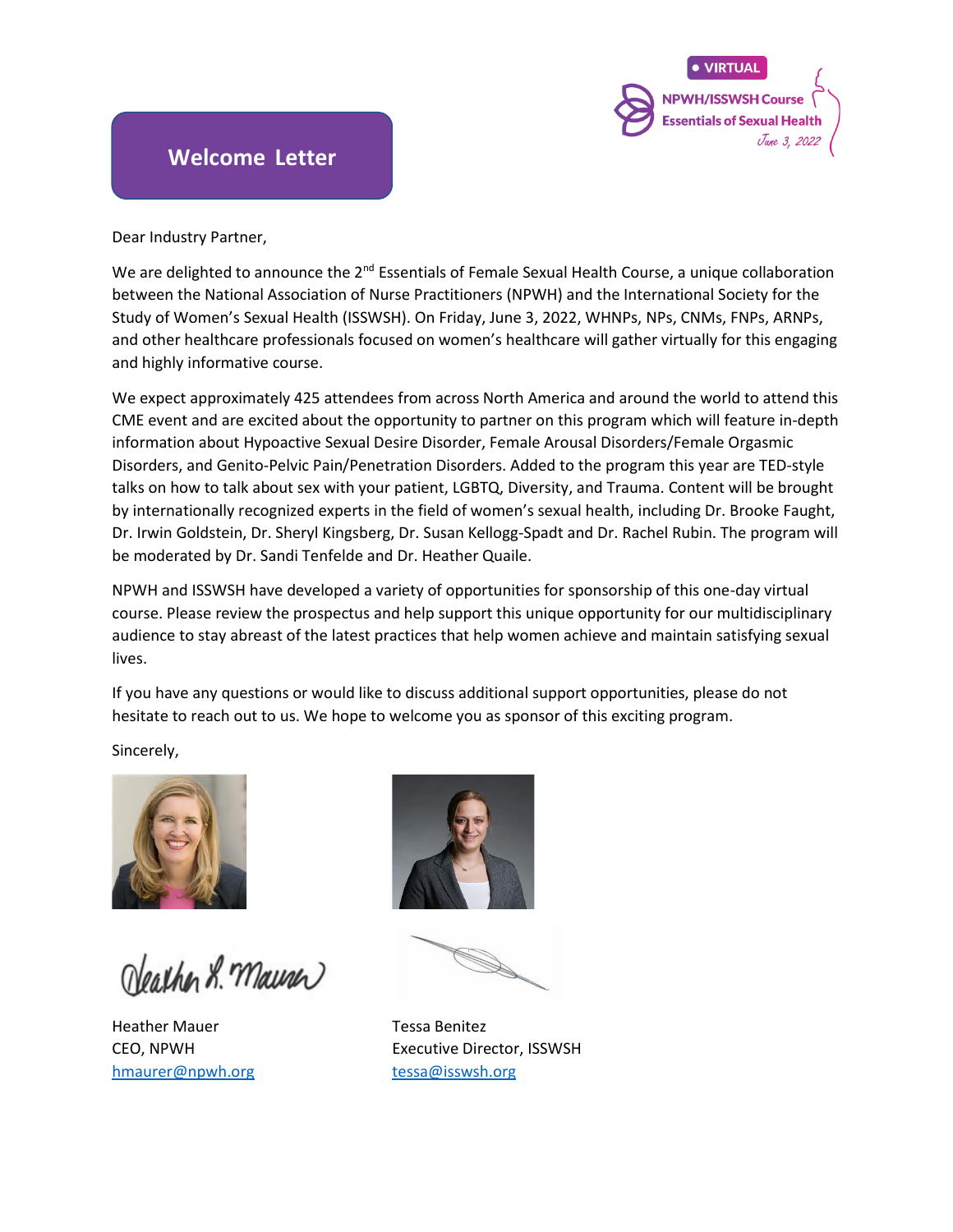

### **Welcome Letter**

Dear Industry Partner,

We are delighted to announce the  $2^{nd}$  Essentials of Female Sexual Health Course, a unique collaboration between the National Association of Nurse Practitioners (NPWH) and the International Society for the Study of Women's Sexual Health (ISSWSH). On Friday, June 3, 2022, WHNPs, NPs, CNMs, FNPs, ARNPs, and other healthcare professionals focused on women's healthcare will gather virtually for this engaging and highly informative course.

We expect approximately 425 attendees from across North America and around the world to attend this CME event and are excited about the opportunity to partner on this program which will feature in-depth information about Hypoactive Sexual Desire Disorder, Female Arousal Disorders/Female Orgasmic Disorders, and Genito-Pelvic Pain/Penetration Disorders. Added to the program this year are TED-style talks on how to talk about sex with your patient, LGBTQ, Diversity, and Trauma. Content will be brought by internationally recognized experts in the field of women's sexual health, including Dr. Brooke Faught, Dr. Irwin Goldstein, Dr. Sheryl Kingsberg, Dr. Susan Kellogg-Spadt and Dr. Rachel Rubin. The program will be moderated by Dr. Sandi Tenfelde and Dr. Heather Quaile.

NPWH and ISSWSH have developed a variety of opportunities for sponsorship of this one-day virtual course. Please review the prospectus and help support this unique opportunity for our multidisciplinary audience to stay abreast of the latest practices that help women achieve and maintain satisfying sexual lives.

If you have any questions or would like to discuss additional support opportunities, please do not hesitate to reach out to us. We hope to welcome you as sponsor of this exciting program.

Sincerely,



Neather L. Maurer

Heather Mauer **Tessa Benitez** [hmaurer@npwh.org](mailto:hmaurer@npwh.org) [tessa@isswsh.org](mailto:tessa@isswsh.org)



CEO, NPWH Executive Director, ISSWSH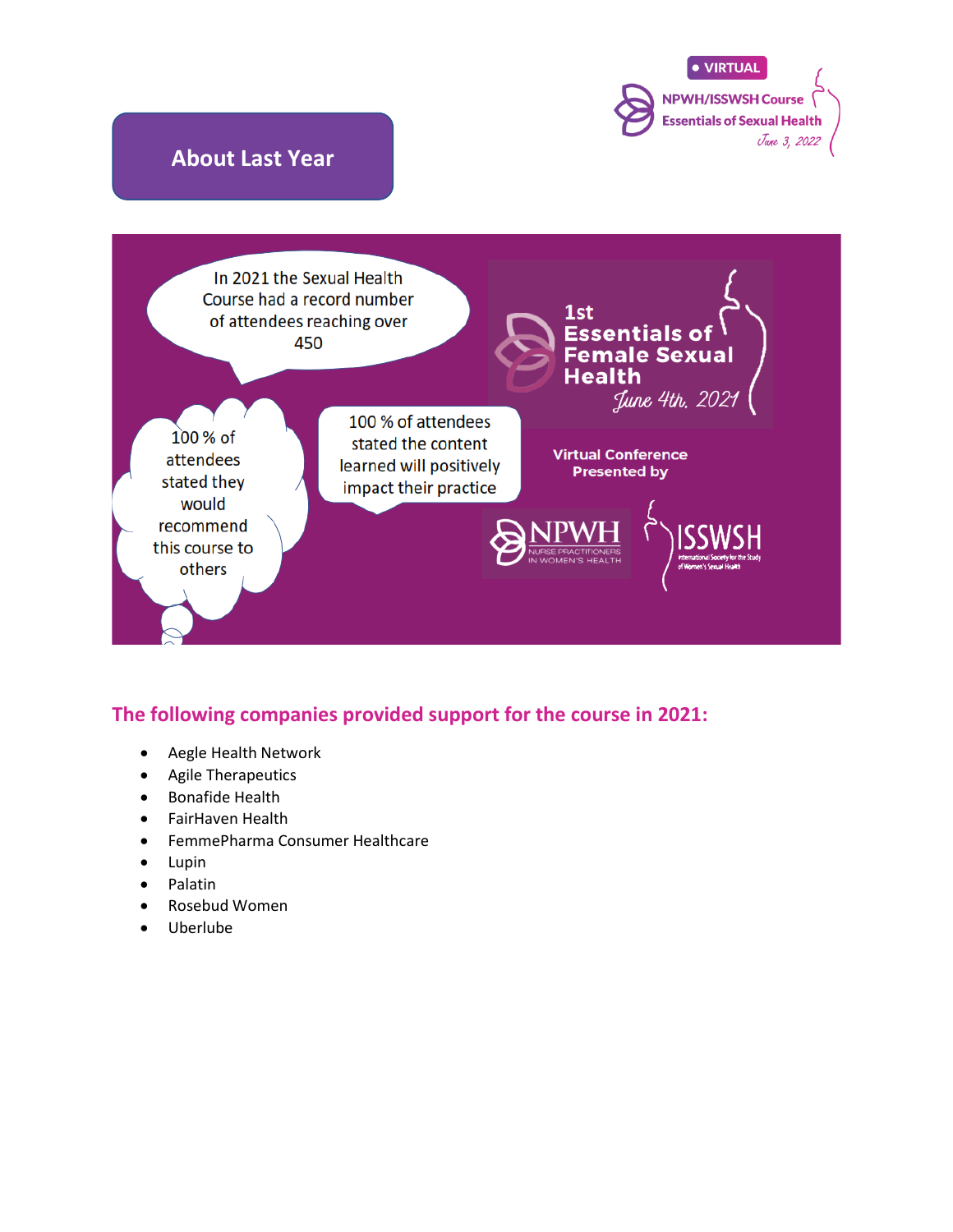

### **The following companies provided support for the course in 2021:**

- Aegle Health Network
- Agile Therapeutics
- Bonafide Health
- FairHaven Health
- FemmePharma Consumer Healthcare
- Lupin
- Palatin
- Rosebud Women
- Uberlube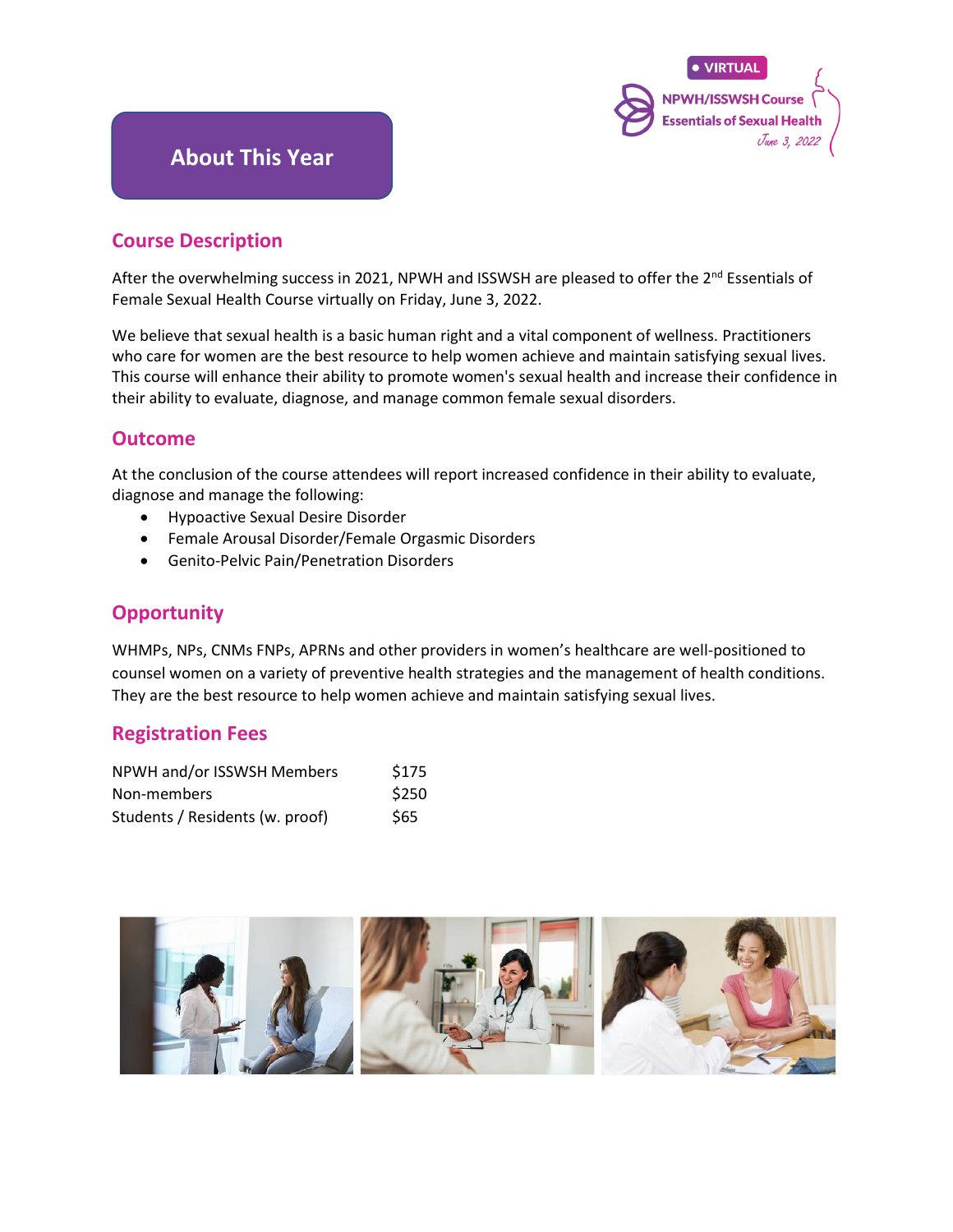

### **About This Year**

#### **Course Description**

After the overwhelming success in 2021, NPWH and ISSWSH are pleased to offer the 2<sup>nd</sup> Essentials of Female Sexual Health Course virtually on Friday, June 3, 2022.

We believe that sexual health is a basic human right and a vital component of wellness. Practitioners who care for women are the best resource to help women achieve and maintain satisfying sexual lives. This course will enhance their ability to promote women's sexual health and increase their confidence in their ability to evaluate, diagnose, and manage common female sexual disorders.

#### **Outcome**

At the conclusion of the course attendees will report increased confidence in their ability to evaluate, diagnose and manage the following:

- Hypoactive Sexual Desire Disorder
- Female Arousal Disorder/Female Orgasmic Disorders
- Genito-Pelvic Pain/Penetration Disorders

### **Opportunity**

WHMPs, NPs, CNMs FNPs, APRNs and other providers in women's healthcare are well-positioned to counsel women on a variety of preventive health strategies and the management of health conditions. They are the best resource to help women achieve and maintain satisfying sexual lives.

#### **Registration Fees**

| NPWH and/or ISSWSH Members      | \$175 |
|---------------------------------|-------|
| Non-members                     | \$250 |
| Students / Residents (w. proof) | \$65  |

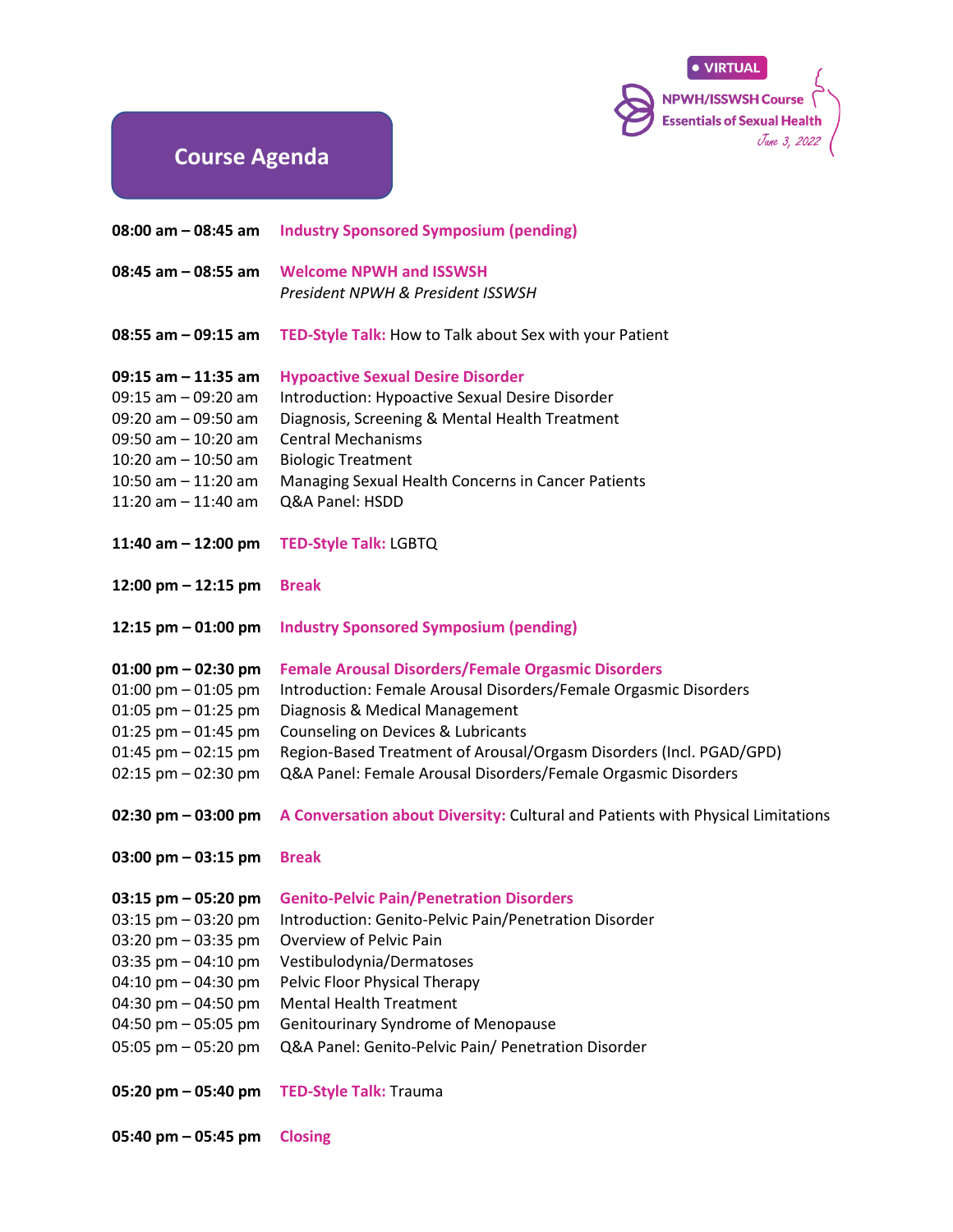

## **Course Agenda**

| 08:00 am - 08:45 am    | <b>Industry Sponsored Symposium (pending)</b>                                   |
|------------------------|---------------------------------------------------------------------------------|
| 08:45 am - 08:55 am    | <b>Welcome NPWH and ISSWSH</b>                                                  |
|                        | President NPWH & President ISSWSH                                               |
| $08:55$ am $-09:15$ am | TED-Style Talk: How to Talk about Sex with your Patient                         |
| 09:15 am – 11:35 am    | <b>Hypoactive Sexual Desire Disorder</b>                                        |
| 09:15 am - 09:20 am    | Introduction: Hypoactive Sexual Desire Disorder                                 |
| 09:20 am - 09:50 am    | Diagnosis, Screening & Mental Health Treatment                                  |
| 09:50 am - 10:20 am    | <b>Central Mechanisms</b>                                                       |
| 10:20 am - 10:50 am    | <b>Biologic Treatment</b>                                                       |
| 10:50 am - 11:20 am    | Managing Sexual Health Concerns in Cancer Patients                              |
| $11:20$ am $-11:40$ am | Q&A Panel: HSDD                                                                 |
| 11:40 am $-$ 12:00 pm  | <b>TED-Style Talk: LGBTQ</b>                                                    |
| $12:00$ pm $-12:15$ pm | <b>Break</b>                                                                    |
| 12:15 pm - 01:00 pm    | <b>Industry Sponsored Symposium (pending)</b>                                   |
| $01:00$ pm $-02:30$ pm | <b>Female Arousal Disorders/Female Orgasmic Disorders</b>                       |
| 01:00 pm - 01:05 pm    | Introduction: Female Arousal Disorders/Female Orgasmic Disorders                |
| $01:05$ pm $-01:25$ pm | Diagnosis & Medical Management                                                  |
| 01:25 pm - 01:45 pm    | Counseling on Devices & Lubricants                                              |
| 01:45 pm - 02:15 pm    | Region-Based Treatment of Arousal/Orgasm Disorders (Incl. PGAD/GPD)             |
| 02:15 pm - 02:30 pm    | Q&A Panel: Female Arousal Disorders/Female Orgasmic Disorders                   |
| 02:30 pm – 03:00 pm    | A Conversation about Diversity: Cultural and Patients with Physical Limitations |
| 03:00 pm – 03:15 pm    | <b>Break</b>                                                                    |
| 03:15 pm - 05:20 pm    | <b>Genito-Pelvic Pain/Penetration Disorders</b>                                 |
| 03:15 pm - 03:20 pm    | Introduction: Genito-Pelvic Pain/Penetration Disorder                           |
| $03:20$ pm $-03:35$ pm | Overview of Pelvic Pain                                                         |
| 03:35 pm - 04:10 pm    | Vestibulodynia/Dermatoses                                                       |
| 04:10 pm - 04:30 pm    | Pelvic Floor Physical Therapy                                                   |
| 04:30 pm - 04:50 pm    | <b>Mental Health Treatment</b>                                                  |
| 04:50 pm - 05:05 pm    | Genitourinary Syndrome of Menopause                                             |
| 05:05 pm - 05:20 pm    | Q&A Panel: Genito-Pelvic Pain/ Penetration Disorder                             |
| 05:20 pm – 05:40 pm    | <b>TED-Style Talk: Trauma</b>                                                   |
|                        |                                                                                 |

**05:40 pm – 05:45 pm Closing**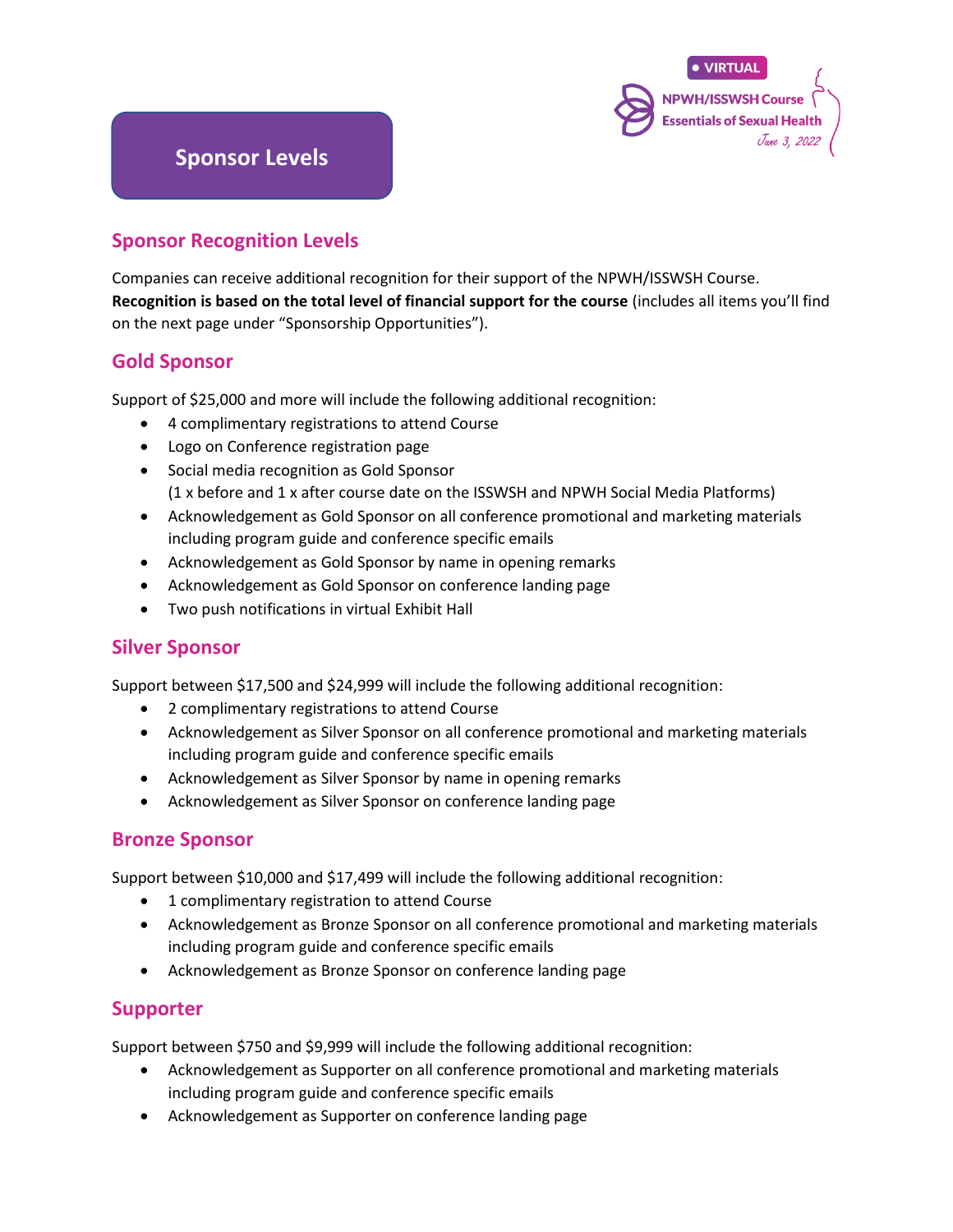

### **Sponsor Recognition Levels**

Companies can receive additional recognition for their support of the NPWH/ISSWSH Course. **Recognition is based on the total level of financial support for the course** (includes all items you'll find on the next page under "Sponsorship Opportunities").

#### **Gold Sponsor**

Support of \$25,000 and more will include the following additional recognition:

- 4 complimentary registrations to attend Course
- Logo on Conference registration page
- Social media recognition as Gold Sponsor (1 x before and 1 x after course date on the ISSWSH and NPWH Social Media Platforms)
- Acknowledgement as Gold Sponsor on all conference promotional and marketing materials including program guide and conference specific emails
- Acknowledgement as Gold Sponsor by name in opening remarks
- Acknowledgement as Gold Sponsor on conference landing page
- Two push notifications in virtual Exhibit Hall

#### **Silver Sponsor**

Support between \$17,500 and \$24,999 will include the following additional recognition:

- 2 complimentary registrations to attend Course
- Acknowledgement as Silver Sponsor on all conference promotional and marketing materials including program guide and conference specific emails
- Acknowledgement as Silver Sponsor by name in opening remarks
- Acknowledgement as Silver Sponsor on conference landing page

#### **Bronze Sponsor**

Support between \$10,000 and \$17,499 will include the following additional recognition:

- 1 complimentary registration to attend Course
- Acknowledgement as Bronze Sponsor on all conference promotional and marketing materials including program guide and conference specific emails
- Acknowledgement as Bronze Sponsor on conference landing page

#### **Supporter**

Support between \$750 and \$9,999 will include the following additional recognition:

- Acknowledgement as Supporter on all conference promotional and marketing materials including program guide and conference specific emails
- Acknowledgement as Supporter on conference landing page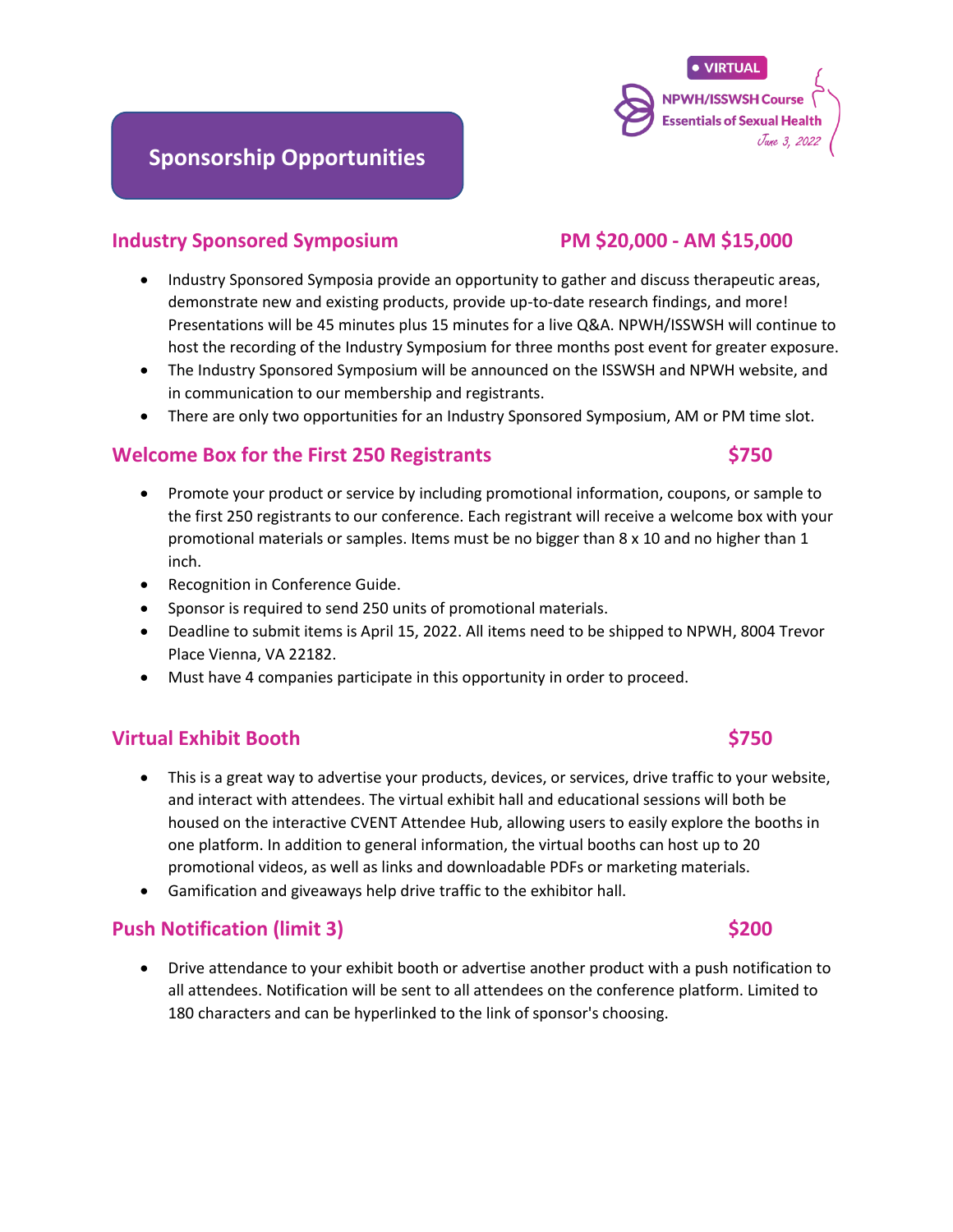### **Industry Sponsored Symposium PM \$20,000 - AM \$15,000**

- Industry Sponsored Symposia provide an opportunity to gather and discuss therapeutic areas, demonstrate new and existing products, provide up-to-date research findings, and more! Presentations will be 45 minutes plus 15 minutes for a live Q&A. NPWH/ISSWSH will continue to host the recording of the Industry Symposium for three months post event for greater exposure.
- The Industry Sponsored Symposium will be announced on the ISSWSH and NPWH website, and in communication to our membership and registrants.
- There are only two opportunities for an Industry Sponsored Symposium, AM or PM time slot.

#### **Welcome Box for the First 250 Registrants \$750**

- Promote your product or service by including promotional information, coupons, or sample to the first 250 registrants to our conference. Each registrant will receive a welcome box with your promotional materials or samples. Items must be no bigger than 8 x 10 and no higher than 1 inch.
- Recognition in Conference Guide.
- Sponsor is required to send 250 units of promotional materials.
- Deadline to submit items is April 15, 2022. All items need to be shipped to NPWH, 8004 Trevor Place Vienna, VA 22182.
- Must have 4 companies participate in this opportunity in order to proceed.

#### **Virtual Exhibit Booth \$750**

- This is a great way to advertise your products, devices, or services, drive traffic to your website, and interact with attendees. The virtual exhibit hall and educational sessions will both be housed on the interactive CVENT Attendee Hub, allowing users to easily explore the booths in one platform. In addition to general information, the virtual booths can host up to 20 promotional videos, as well as links and downloadable PDFs or marketing materials.
- Gamification and giveaways help drive traffic to the exhibitor hall.

#### **Push Notification (limit 3) \$200**

• Drive attendance to your exhibit booth or advertise another product with a push notification to all attendees. Notification will be sent to all attendees on the conference platform. Limited to 180 characters and can be hyperlinked to the link of sponsor's choosing.

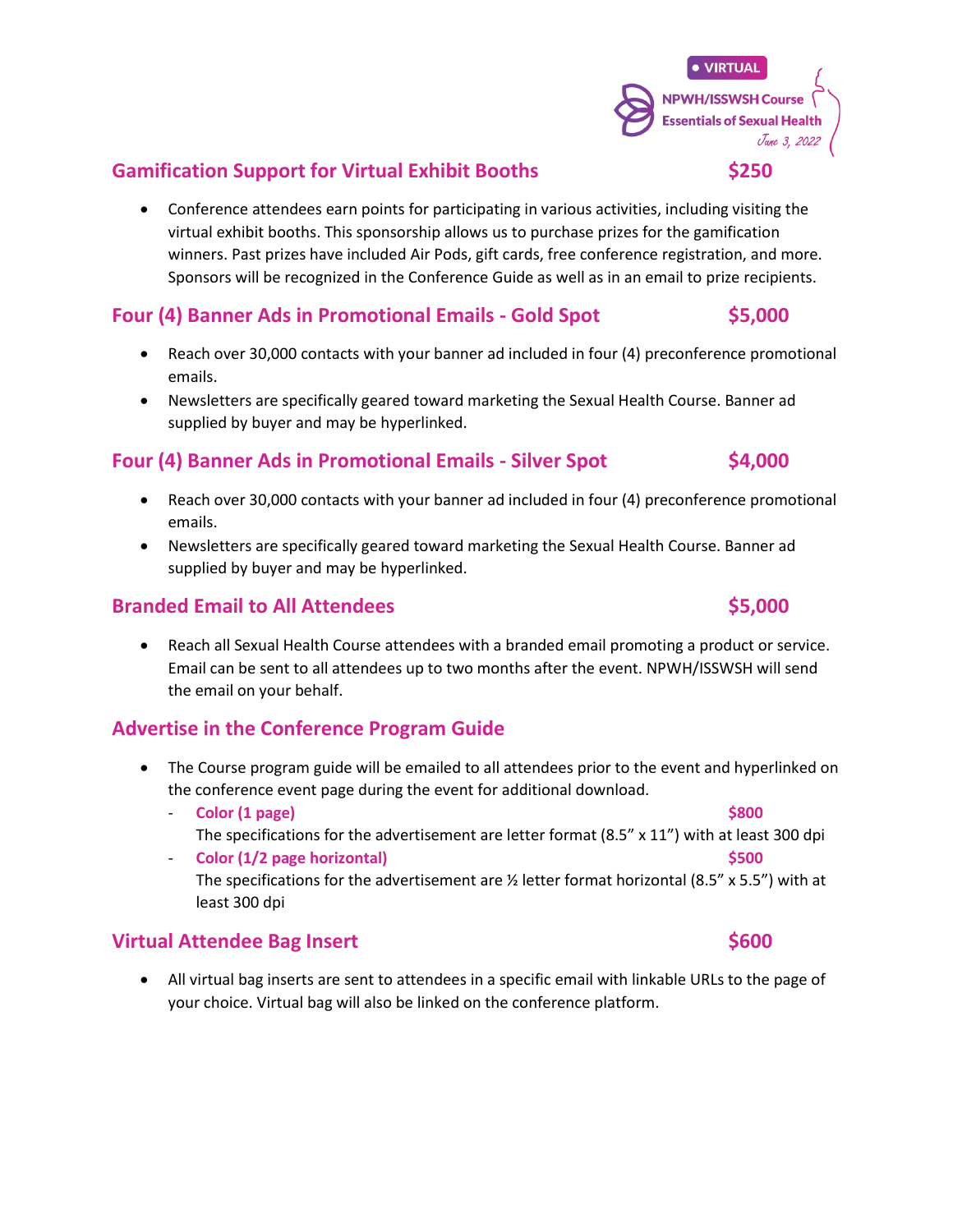• Conference attendees earn points for participating in various activities, including visiting the virtual exhibit booths. This sponsorship allows us to purchase prizes for the gamification winners. Past prizes have included Air Pods, gift cards, free conference registration, and more. Sponsors will be recognized in the Conference Guide as well as in an email to prize recipients.

#### **Four (4) Banner Ads in Promotional Emails - Gold Spot \$5,000**

- Reach over 30,000 contacts with your banner ad included in four (4) preconference promotional emails.
- Newsletters are specifically geared toward marketing the Sexual Health Course. Banner ad supplied by buyer and may be hyperlinked.

#### **Four (4) Banner Ads in Promotional Emails - Silver Spot \$4,000**

- Reach over 30,000 contacts with your banner ad included in four (4) preconference promotional emails.
- Newsletters are specifically geared toward marketing the Sexual Health Course. Banner ad supplied by buyer and may be hyperlinked.

#### **Branded Email to All Attendees** \$5,000

• Reach all Sexual Health Course attendees with a branded email promoting a product or service. Email can be sent to all attendees up to two months after the event. NPWH/ISSWSH will send the email on your behalf.

#### **Advertise in the Conference Program Guide**

- The Course program guide will be emailed to all attendees prior to the event and hyperlinked on the conference event page during the event for additional download.
	- **Color (1 page) \$800** The specifications for the advertisement are letter format (8.5" x 11") with at least 300 dpi
	- **Color (1/2 page horizontal) \$500** The specifications for the advertisement are  $\frac{1}{2}$  letter format horizontal (8.5" x 5.5") with at least 300 dpi

### **Virtual Attendee Bag Insert \$600**

• All virtual bag inserts are sent to attendees in a specific email with linkable URLs to the page of your choice. Virtual bag will also be linked on the conference platform.



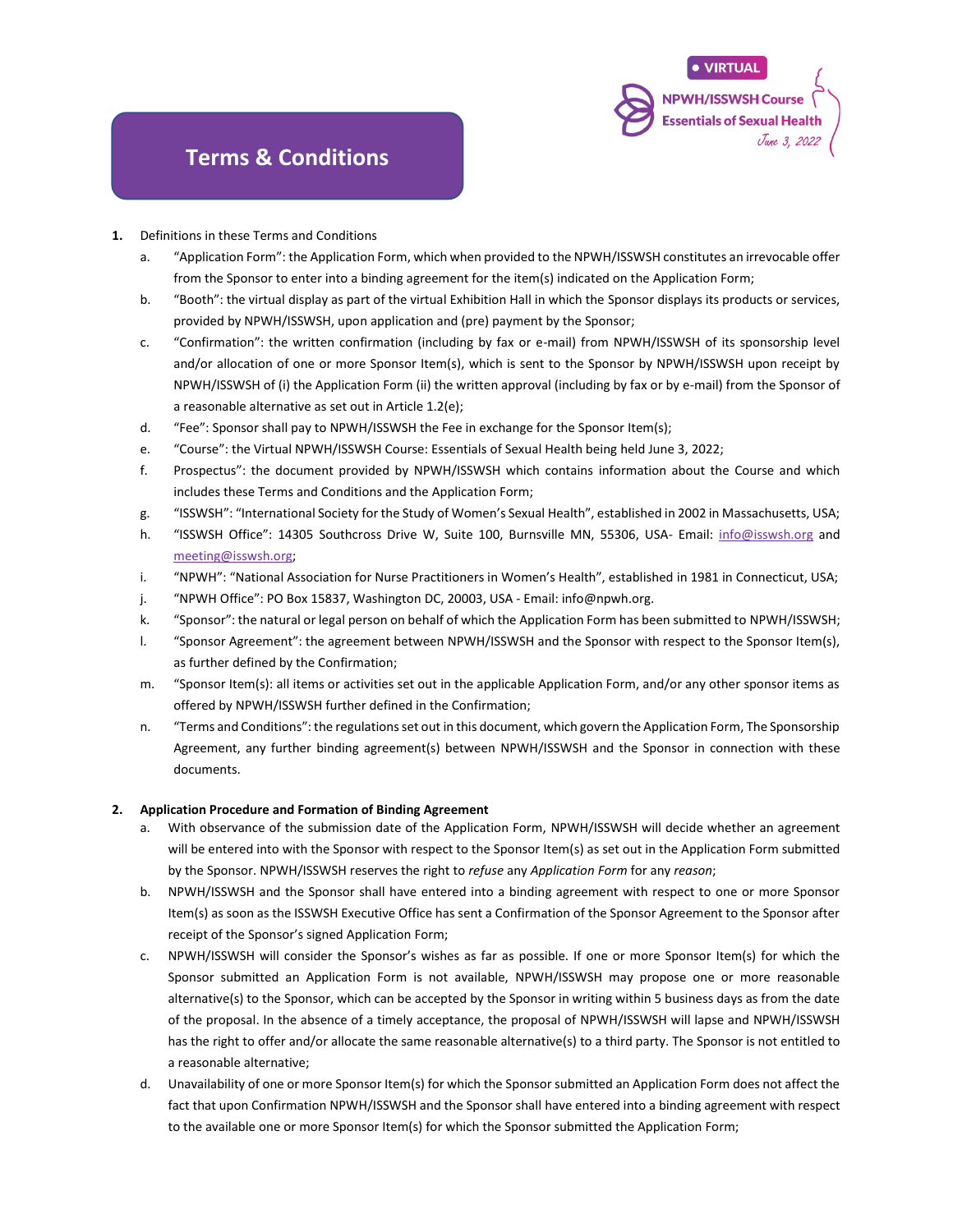### **Terms & Conditions**

- **1.** Definitions in these Terms and Conditions
	- a. "Application Form": the Application Form, which when provided to the NPWH/ISSWSH constitutes an irrevocable offer from the Sponsor to enter into a binding agreement for the item(s) indicated on the Application Form;

**NPWH/ISSWSH Course Essentials of Sexual Health** 

- b. "Booth": the virtual display as part of the virtual Exhibition Hall in which the Sponsor displays its products or services, provided by NPWH/ISSWSH, upon application and (pre) payment by the Sponsor;
- c. "Confirmation": the written confirmation (including by fax or e-mail) from NPWH/ISSWSH of its sponsorship level and/or allocation of one or more Sponsor Item(s), which is sent to the Sponsor by NPWH/ISSWSH upon receipt by NPWH/ISSWSH of (i) the Application Form (ii) the written approval (including by fax or by e-mail) from the Sponsor of a reasonable alternative as set out in Article 1.2(e);
- d. "Fee": Sponsor shall pay to NPWH/ISSWSH the Fee in exchange for the Sponsor Item(s);
- e. "Course": the Virtual NPWH/ISSWSH Course: Essentials of Sexual Health being held June 3, 2022;
- f. Prospectus": the document provided by NPWH/ISSWSH which contains information about the Course and which includes these Terms and Conditions and the Application Form;
- g. "ISSWSH": "International Society for the Study of Women's Sexual Health", established in 2002 in Massachusetts, USA;
- h. "ISSWSH Office": 14305 Southcross Drive W, Suite 100, Burnsville MN, 55306, USA- Email: [info@isswsh.org](mailto:info@isswsh.org) and [meeting@isswsh.org;](mailto:meeting@isswsh.org)
- i. "NPWH": "National Association for Nurse Practitioners in Women's Health", established in 1981 in Connecticut, USA;
- j. "NPWH Office": PO Box 15837, Washington DC, 20003, USA Email: info@npwh.org.
- k. "Sponsor": the natural or legal person on behalf of which the Application Form has been submitted to NPWH/ISSWSH;
- l. "Sponsor Agreement": the agreement between NPWH/ISSWSH and the Sponsor with respect to the Sponsor Item(s), as further defined by the Confirmation;
- m. "Sponsor Item(s): all items or activities set out in the applicable Application Form, and/or any other sponsor items as offered by NPWH/ISSWSH further defined in the Confirmation;
- n. "Terms and Conditions": the regulations set out in this document, which govern the Application Form, The Sponsorship Agreement, any further binding agreement(s) between NPWH/ISSWSH and the Sponsor in connection with these documents.

#### **2. Application Procedure and Formation of Binding Agreement**

- a. With observance of the submission date of the Application Form, NPWH/ISSWSH will decide whether an agreement will be entered into with the Sponsor with respect to the Sponsor Item(s) as set out in the Application Form submitted by the Sponsor. NPWH/ISSWSH reserves the right to *refuse* any *Application Form* for any *reason*;
- b. NPWH/ISSWSH and the Sponsor shall have entered into a binding agreement with respect to one or more Sponsor Item(s) as soon as the ISSWSH Executive Office has sent a Confirmation of the Sponsor Agreement to the Sponsor after receipt of the Sponsor's signed Application Form;
- c. NPWH/ISSWSH will consider the Sponsor's wishes as far as possible. If one or more Sponsor Item(s) for which the Sponsor submitted an Application Form is not available, NPWH/ISSWSH may propose one or more reasonable alternative(s) to the Sponsor, which can be accepted by the Sponsor in writing within 5 business days as from the date of the proposal. In the absence of a timely acceptance, the proposal of NPWH/ISSWSH will lapse and NPWH/ISSWSH has the right to offer and/or allocate the same reasonable alternative(s) to a third party. The Sponsor is not entitled to a reasonable alternative;
- d. Unavailability of one or more Sponsor Item(s) for which the Sponsor submitted an Application Form does not affect the fact that upon Confirmation NPWH/ISSWSH and the Sponsor shall have entered into a binding agreement with respect to the available one or more Sponsor Item(s) for which the Sponsor submitted the Application Form;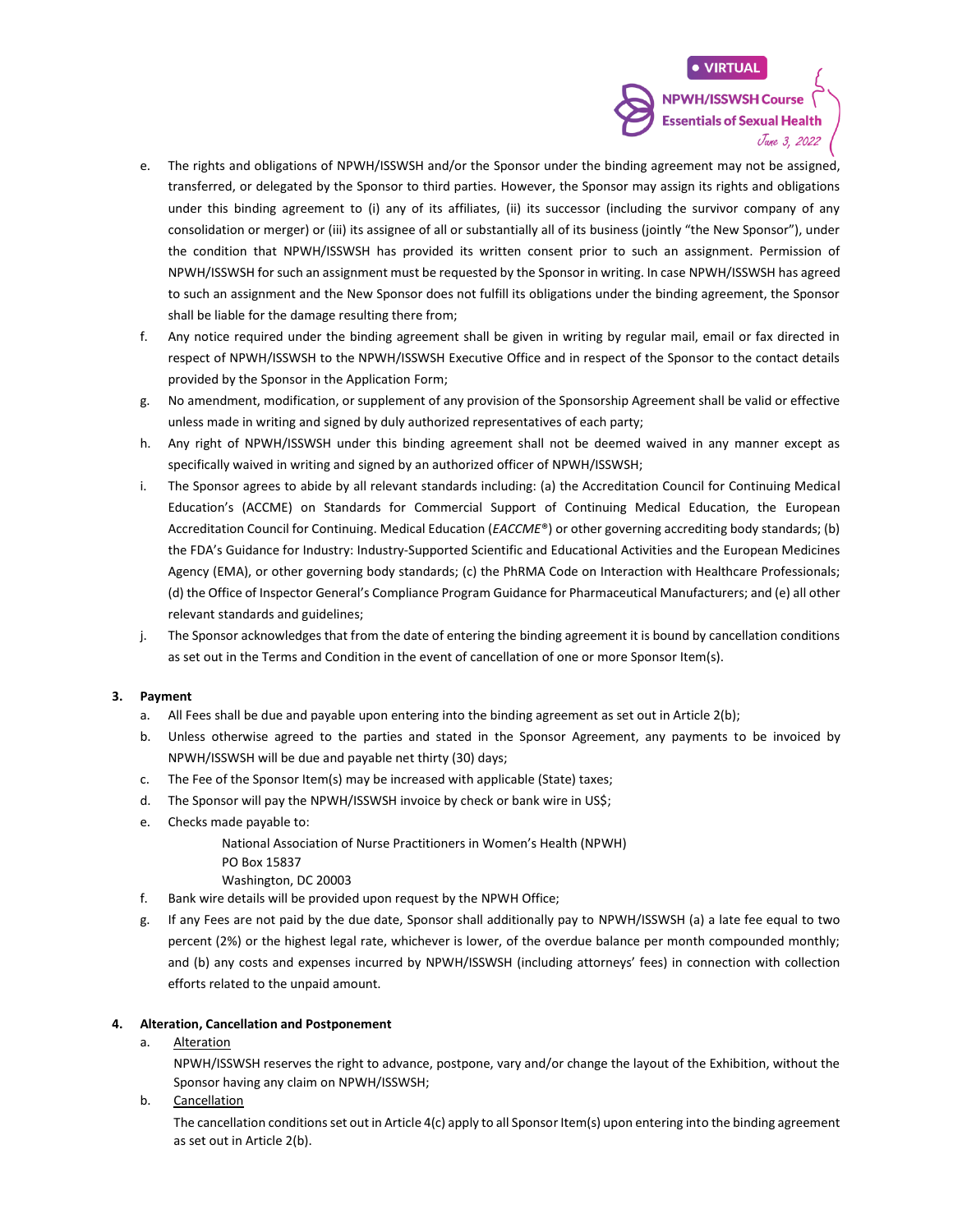**Essentials of Sexual Health** Jane 3, 2022

- e. The rights and obligations of NPWH/ISSWSH and/or the Sponsor under the binding agreement may not be assigned, transferred, or delegated by the Sponsor to third parties. However, the Sponsor may assign its rights and obligations under this binding agreement to (i) any of its affiliates, (ii) its successor (including the survivor company of any consolidation or merger) or (iii) its assignee of all or substantially all of its business (jointly "the New Sponsor"), under the condition that NPWH/ISSWSH has provided its written consent prior to such an assignment. Permission of NPWH/ISSWSH for such an assignment must be requested by the Sponsor in writing. In case NPWH/ISSWSH has agreed to such an assignment and the New Sponsor does not fulfill its obligations under the binding agreement, the Sponsor shall be liable for the damage resulting there from;
- f. Any notice required under the binding agreement shall be given in writing by regular mail, email or fax directed in respect of NPWH/ISSWSH to the NPWH/ISSWSH Executive Office and in respect of the Sponsor to the contact details provided by the Sponsor in the Application Form;
- g. No amendment, modification, or supplement of any provision of the Sponsorship Agreement shall be valid or effective unless made in writing and signed by duly authorized representatives of each party;
- h. Any right of NPWH/ISSWSH under this binding agreement shall not be deemed waived in any manner except as specifically waived in writing and signed by an authorized officer of NPWH/ISSWSH;
- i. The Sponsor agrees to abide by all relevant standards including: (a) the Accreditation Council for Continuing Medical Education's (ACCME) on Standards for Commercial Support of Continuing Medical Education, the European Accreditation Council for Continuing. Medical Education (*EACCME*®) or other governing accrediting body standards; (b) the FDA's Guidance for Industry: Industry-Supported Scientific and Educational Activities and the European Medicines Agency (EMA), or other governing body standards; (c) the PhRMA Code on Interaction with Healthcare Professionals; (d) the Office of Inspector General's Compliance Program Guidance for Pharmaceutical Manufacturers; and (e) all other relevant standards and guidelines;
- j. The Sponsor acknowledges that from the date of entering the binding agreement it is bound by cancellation conditions as set out in the Terms and Condition in the event of cancellation of one or more Sponsor Item(s).

#### **3. Payment**

- a. All Fees shall be due and payable upon entering into the binding agreement as set out in Article 2(b);
- b. Unless otherwise agreed to the parties and stated in the Sponsor Agreement, any payments to be invoiced by NPWH/ISSWSH will be due and payable net thirty (30) days;
- c. The Fee of the Sponsor Item(s) may be increased with applicable (State) taxes;
- d. The Sponsor will pay the NPWH/ISSWSH invoice by check or bank wire in US\$;
- e. Checks made payable to:

National Association of Nurse Practitioners in Women's Health (NPWH) PO Box 15837

Washington, DC 20003

- f. Bank wire details will be provided upon request by the NPWH Office;
- g. If any Fees are not paid by the due date, Sponsor shall additionally pay to NPWH/ISSWSH (a) a late fee equal to two percent (2%) or the highest legal rate, whichever is lower, of the overdue balance per month compounded monthly; and (b) any costs and expenses incurred by NPWH/ISSWSH (including attorneys' fees) in connection with collection efforts related to the unpaid amount.

#### **4. Alteration, Cancellation and Postponement**

#### a. Alteration

NPWH/ISSWSH reserves the right to advance, postpone, vary and/or change the layout of the Exhibition, without the Sponsor having any claim on NPWH/ISSWSH;

b. Cancellation

The cancellation conditions set out in Article 4(c) apply to all Sponsor Item(s) upon entering into the binding agreement as set out in Article 2(b).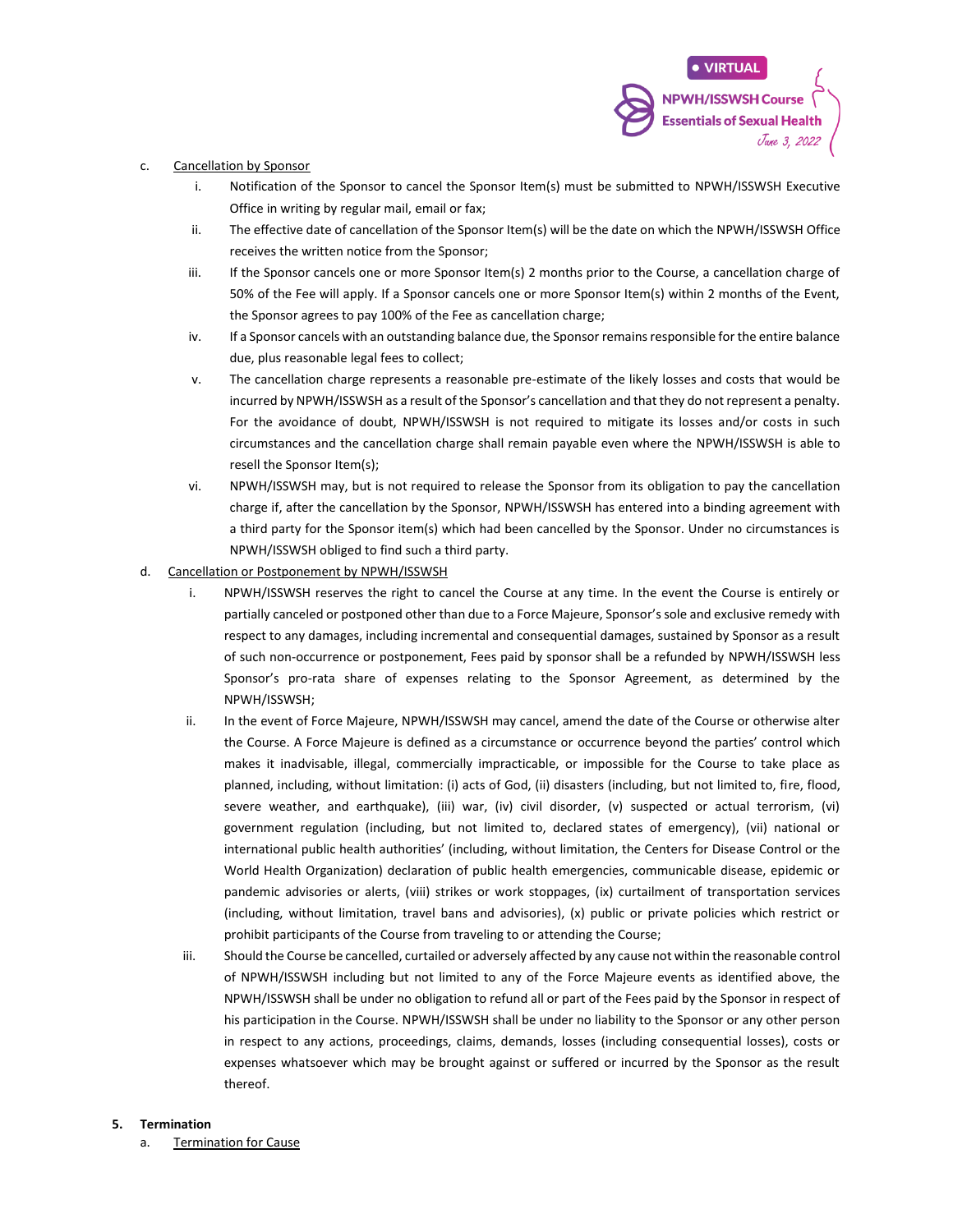#### c. Cancellation by Sponsor

- i. Notification of the Sponsor to cancel the Sponsor Item(s) must be submitted to NPWH/ISSWSH Executive Office in writing by regular mail, email or fax;
- ii. The effective date of cancellation of the Sponsor Item(s) will be the date on which the NPWH/ISSWSH Office receives the written notice from the Sponsor;
- iii. If the Sponsor cancels one or more Sponsor Item(s) 2 months prior to the Course, a cancellation charge of 50% of the Fee will apply. If a Sponsor cancels one or more Sponsor Item(s) within 2 months of the Event, the Sponsor agrees to pay 100% of the Fee as cancellation charge;
- iv. If a Sponsor cancels with an outstanding balance due, the Sponsor remains responsible for the entire balance due, plus reasonable legal fees to collect;
- v. The cancellation charge represents a reasonable pre-estimate of the likely losses and costs that would be incurred by NPWH/ISSWSH as a result of the Sponsor's cancellation and that they do not represent a penalty. For the avoidance of doubt, NPWH/ISSWSH is not required to mitigate its losses and/or costs in such circumstances and the cancellation charge shall remain payable even where the NPWH/ISSWSH is able to resell the Sponsor Item(s);
- vi. NPWH/ISSWSH may, but is not required to release the Sponsor from its obligation to pay the cancellation charge if, after the cancellation by the Sponsor, NPWH/ISSWSH has entered into a binding agreement with a third party for the Sponsor item(s) which had been cancelled by the Sponsor. Under no circumstances is NPWH/ISSWSH obliged to find such a third party.
- d. Cancellation or Postponement by NPWH/ISSWSH
	- i. NPWH/ISSWSH reserves the right to cancel the Course at any time. In the event the Course is entirely or partially canceled or postponed other than due to a Force Majeure, Sponsor's sole and exclusive remedy with respect to any damages, including incremental and consequential damages, sustained by Sponsor as a result of such non-occurrence or postponement, Fees paid by sponsor shall be a refunded by NPWH/ISSWSH less Sponsor's pro-rata share of expenses relating to the Sponsor Agreement, as determined by the NPWH/ISSWSH;
	- ii. In the event of Force Majeure, NPWH/ISSWSH may cancel, amend the date of the Course or otherwise alter the Course. A Force Majeure is defined as a circumstance or occurrence beyond the parties' control which makes it inadvisable, illegal, commercially impracticable, or impossible for the Course to take place as planned, including, without limitation: (i) acts of God, (ii) disasters (including, but not limited to, fire, flood, severe weather, and earthquake), (iii) war, (iv) civil disorder, (v) suspected or actual terrorism, (vi) government regulation (including, but not limited to, declared states of emergency), (vii) national or international public health authorities' (including, without limitation, the Centers for Disease Control or the World Health Organization) declaration of public health emergencies, communicable disease, epidemic or pandemic advisories or alerts, (viii) strikes or work stoppages, (ix) curtailment of transportation services (including, without limitation, travel bans and advisories), (x) public or private policies which restrict or prohibit participants of the Course from traveling to or attending the Course;
	- iii. Should the Course be cancelled, curtailed or adversely affected by any cause not within the reasonable control of NPWH/ISSWSH including but not limited to any of the Force Majeure events as identified above, the NPWH/ISSWSH shall be under no obligation to refund all or part of the Fees paid by the Sponsor in respect of his participation in the Course. NPWH/ISSWSH shall be under no liability to the Sponsor or any other person in respect to any actions, proceedings, claims, demands, losses (including consequential losses), costs or expenses whatsoever which may be brought against or suffered or incurred by the Sponsor as the result thereof.

#### **5. Termination**

a. Termination for Cause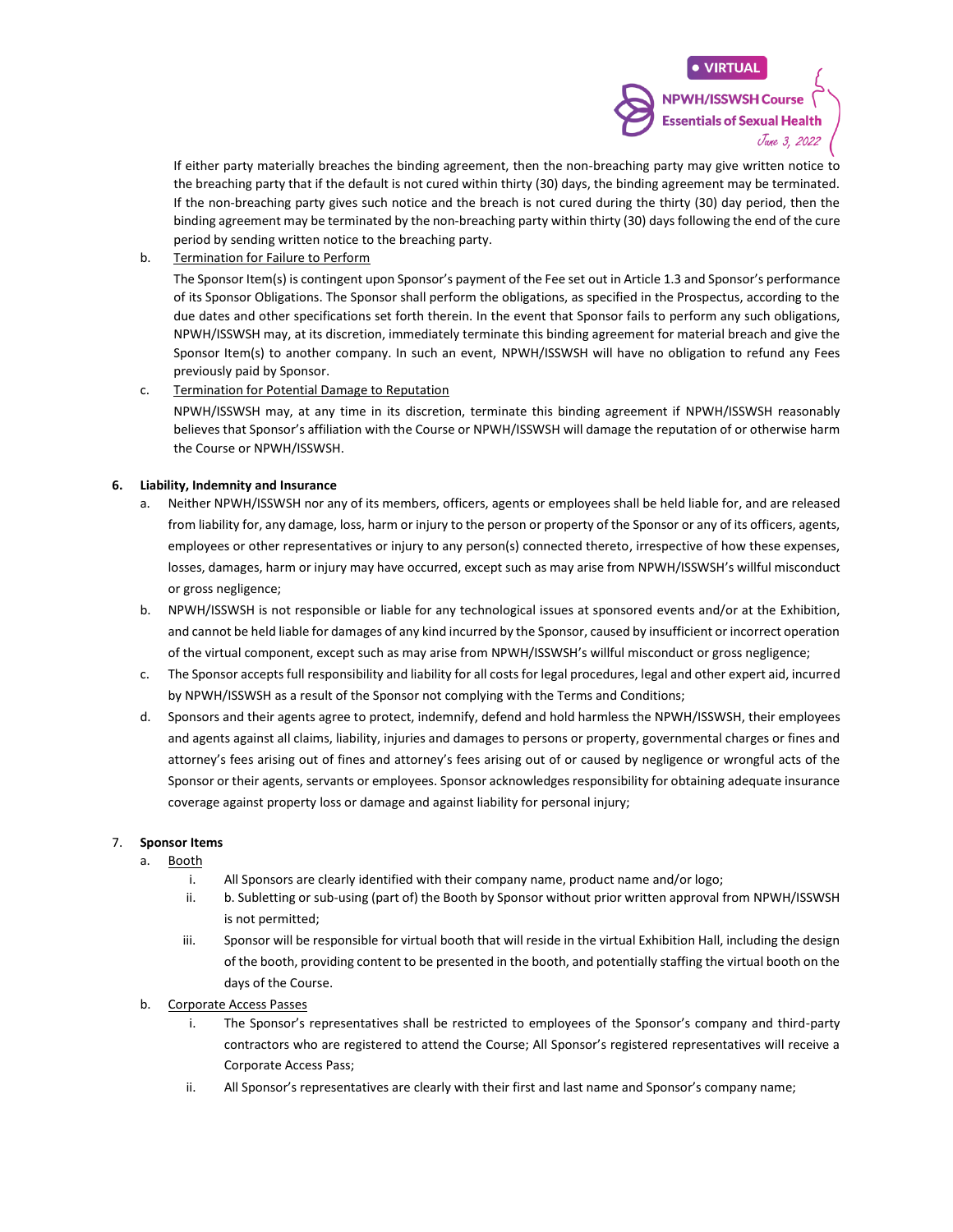If either party materially breaches the binding agreement, then the non-breaching party may give written notice to the breaching party that if the default is not cured within thirty (30) days, the binding agreement may be terminated. If the non-breaching party gives such notice and the breach is not cured during the thirty (30) day period, then the binding agreement may be terminated by the non-breaching party within thirty (30) days following the end of the cure period by sending written notice to the breaching party.

b. Termination for Failure to Perform

The Sponsor Item(s) is contingent upon Sponsor's payment of the Fee set out in Article 1.3 and Sponsor's performance of its Sponsor Obligations. The Sponsor shall perform the obligations, as specified in the Prospectus, according to the due dates and other specifications set forth therein. In the event that Sponsor fails to perform any such obligations, NPWH/ISSWSH may, at its discretion, immediately terminate this binding agreement for material breach and give the Sponsor Item(s) to another company. In such an event, NPWH/ISSWSH will have no obligation to refund any Fees previously paid by Sponsor.

c. Termination for Potential Damage to Reputation

NPWH/ISSWSH may, at any time in its discretion, terminate this binding agreement if NPWH/ISSWSH reasonably believes that Sponsor's affiliation with the Course or NPWH/ISSWSH will damage the reputation of or otherwise harm the Course or NPWH/ISSWSH.

#### **6. Liability, Indemnity and Insurance**

- a. Neither NPWH/ISSWSH nor any of its members, officers, agents or employees shall be held liable for, and are released from liability for, any damage, loss, harm or injury to the person or property of the Sponsor or any of its officers, agents, employees or other representatives or injury to any person(s) connected thereto, irrespective of how these expenses, losses, damages, harm or injury may have occurred, except such as may arise from NPWH/ISSWSH's willful misconduct or gross negligence;
- b. NPWH/ISSWSH is not responsible or liable for any technological issues at sponsored events and/or at the Exhibition, and cannot be held liable for damages of any kind incurred by the Sponsor, caused by insufficient or incorrect operation of the virtual component, except such as may arise from NPWH/ISSWSH's willful misconduct or gross negligence;
- c. The Sponsor accepts full responsibility and liability for all costs for legal procedures, legal and other expert aid, incurred by NPWH/ISSWSH as a result of the Sponsor not complying with the Terms and Conditions;
- d. Sponsors and their agents agree to protect, indemnify, defend and hold harmless the NPWH/ISSWSH, their employees and agents against all claims, liability, injuries and damages to persons or property, governmental charges or fines and attorney's fees arising out of fines and attorney's fees arising out of or caused by negligence or wrongful acts of the Sponsor or their agents, servants or employees. Sponsor acknowledges responsibility for obtaining adequate insurance coverage against property loss or damage and against liability for personal injury;

#### 7. **Sponsor Items**

- a. Booth
	- i. All Sponsors are clearly identified with their company name, product name and/or logo;
	- ii. b. Subletting or sub-using (part of) the Booth by Sponsor without prior written approval from NPWH/ISSWSH is not permitted;
	- iii. Sponsor will be responsible for virtual booth that will reside in the virtual Exhibition Hall, including the design of the booth, providing content to be presented in the booth, and potentially staffing the virtual booth on the days of the Course.
- b. Corporate Access Passes
	- i. The Sponsor's representatives shall be restricted to employees of the Sponsor's company and third-party contractors who are registered to attend the Course; All Sponsor's registered representatives will receive a Corporate Access Pass;
	- ii. All Sponsor's representatives are clearly with their first and last name and Sponsor's company name;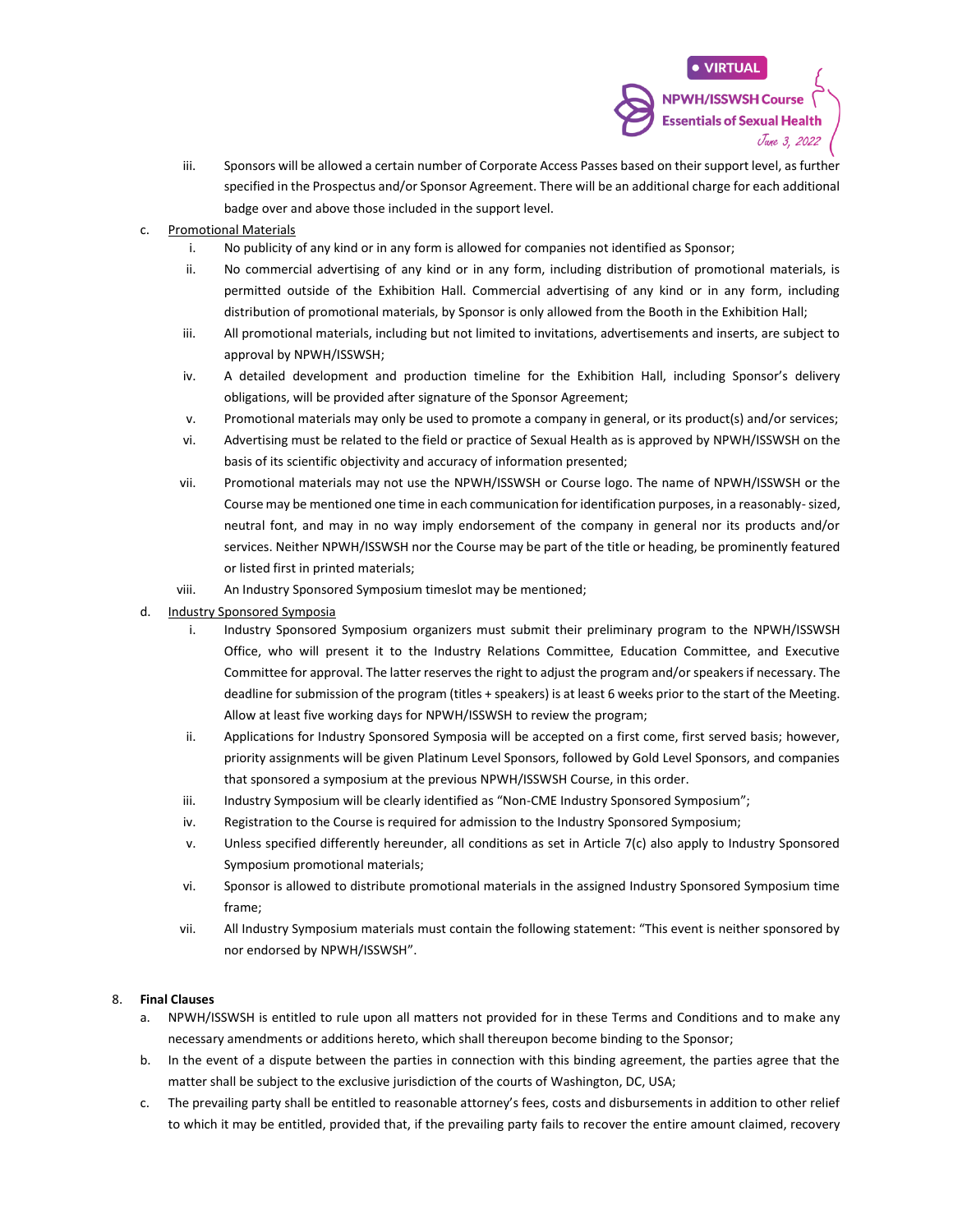- iii. Sponsors will be allowed a certain number of Corporate Access Passes based on their support level, as further specified in the Prospectus and/or Sponsor Agreement. There will be an additional charge for each additional badge over and above those included in the support level.
- c. Promotional Materials
	- i. No publicity of any kind or in any form is allowed for companies not identified as Sponsor;
	- ii. No commercial advertising of any kind or in any form, including distribution of promotional materials, is permitted outside of the Exhibition Hall. Commercial advertising of any kind or in any form, including distribution of promotional materials, by Sponsor is only allowed from the Booth in the Exhibition Hall;
	- iii. All promotional materials, including but not limited to invitations, advertisements and inserts, are subject to approval by NPWH/ISSWSH;
	- iv. A detailed development and production timeline for the Exhibition Hall, including Sponsor's delivery obligations, will be provided after signature of the Sponsor Agreement;
	- v. Promotional materials may only be used to promote a company in general, or its product(s) and/or services;
	- vi. Advertising must be related to the field or practice of Sexual Health as is approved by NPWH/ISSWSH on the basis of its scientific objectivity and accuracy of information presented;
	- vii. Promotional materials may not use the NPWH/ISSWSH or Course logo. The name of NPWH/ISSWSH or the Course may be mentioned one time in each communication for identification purposes, in a reasonably-sized, neutral font, and may in no way imply endorsement of the company in general nor its products and/or services. Neither NPWH/ISSWSH nor the Course may be part of the title or heading, be prominently featured or listed first in printed materials;
	- viii. An Industry Sponsored Symposium timeslot may be mentioned;
- d. Industry Sponsored Symposia
	- i. Industry Sponsored Symposium organizers must submit their preliminary program to the NPWH/ISSWSH Office, who will present it to the Industry Relations Committee, Education Committee, and Executive Committee for approval. The latter reserves the right to adjust the program and/or speakers if necessary. The deadline for submission of the program (titles + speakers) is at least 6 weeks prior to the start of the Meeting. Allow at least five working days for NPWH/ISSWSH to review the program;
	- ii. Applications for Industry Sponsored Symposia will be accepted on a first come, first served basis; however, priority assignments will be given Platinum Level Sponsors, followed by Gold Level Sponsors, and companies that sponsored a symposium at the previous NPWH/ISSWSH Course, in this order.
	- iii. Industry Symposium will be clearly identified as "Non-CME Industry Sponsored Symposium";
	- iv. Registration to the Course is required for admission to the Industry Sponsored Symposium;
	- v. Unless specified differently hereunder, all conditions as set in Article 7(c) also apply to Industry Sponsored Symposium promotional materials;
	- vi. Sponsor is allowed to distribute promotional materials in the assigned Industry Sponsored Symposium time frame;
	- vii. All Industry Symposium materials must contain the following statement: "This event is neither sponsored by nor endorsed by NPWH/ISSWSH".

#### 8. **Final Clauses**

- a. NPWH/ISSWSH is entitled to rule upon all matters not provided for in these Terms and Conditions and to make any necessary amendments or additions hereto, which shall thereupon become binding to the Sponsor;
- b. In the event of a dispute between the parties in connection with this binding agreement, the parties agree that the matter shall be subject to the exclusive jurisdiction of the courts of Washington, DC, USA;
- c. The prevailing party shall be entitled to reasonable attorney's fees, costs and disbursements in addition to other relief to which it may be entitled, provided that, if the prevailing party fails to recover the entire amount claimed, recovery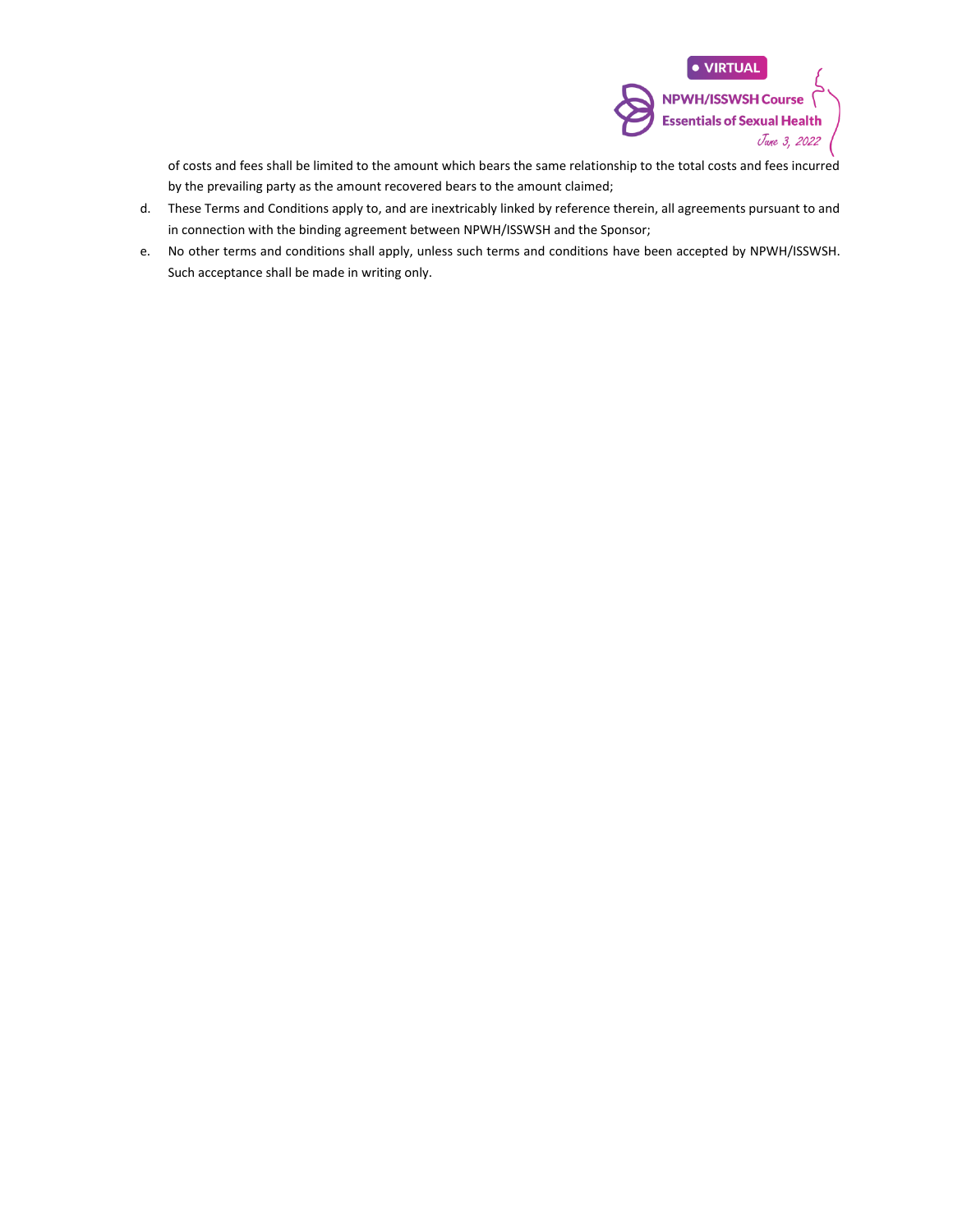

of costs and fees shall be limited to the amount which bears the same relationship to the total costs and fees incurred by the prevailing party as the amount recovered bears to the amount claimed;

- d. These Terms and Conditions apply to, and are inextricably linked by reference therein, all agreements pursuant to and in connection with the binding agreement between NPWH/ISSWSH and the Sponsor;
- e. No other terms and conditions shall apply, unless such terms and conditions have been accepted by NPWH/ISSWSH. Such acceptance shall be made in writing only.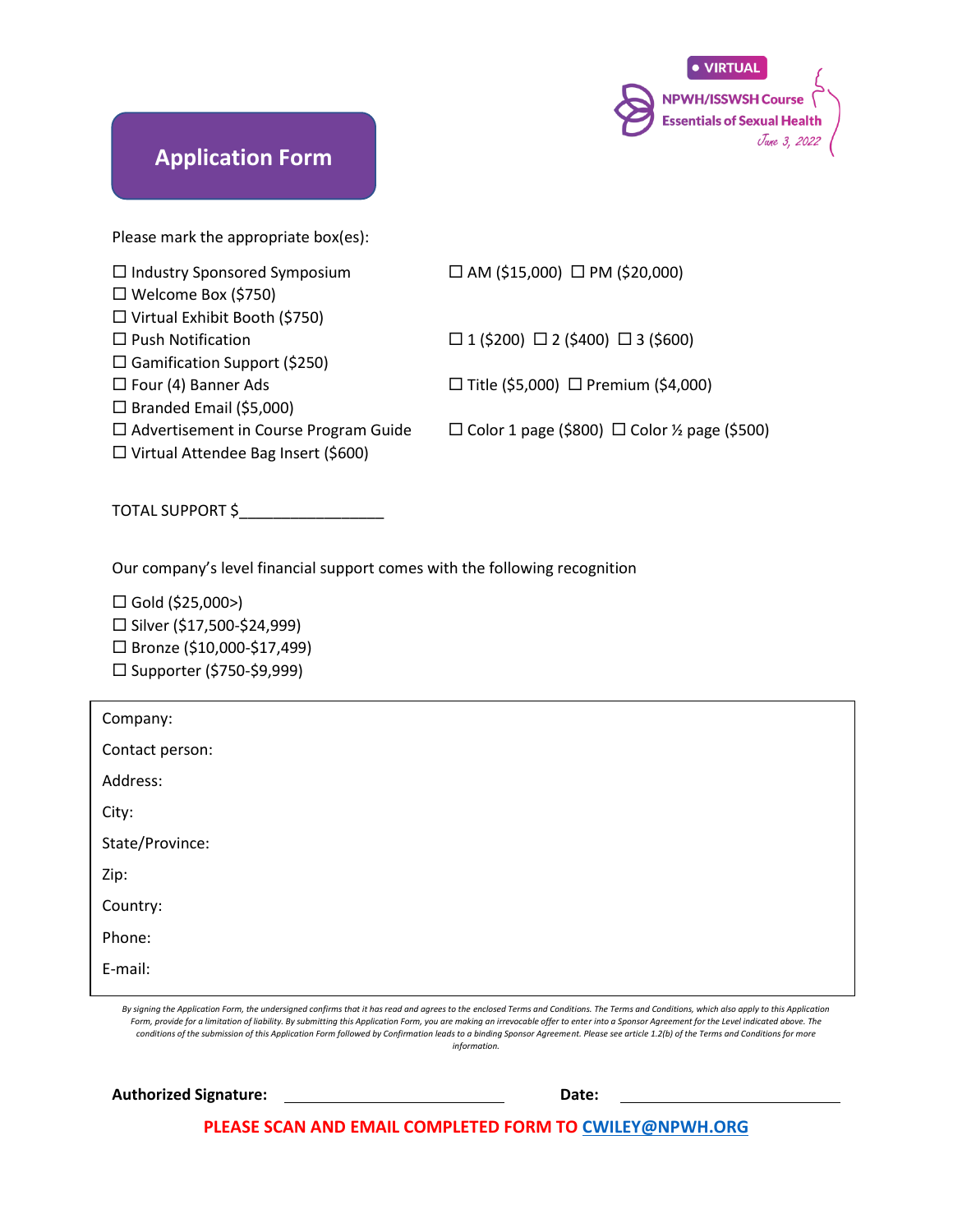

### **Application Form**

Please mark the appropriate box(es):

| $\Box$ AM (\$15,000) $\Box$ PM (\$20,000)               |
|---------------------------------------------------------|
|                                                         |
|                                                         |
| $\Box$ 1 (\$200) $\Box$ 2 (\$400) $\Box$ 3 (\$600)      |
|                                                         |
| □ Title (\$5,000) □ Premium (\$4,000)                   |
|                                                         |
| $\Box$ Color 1 page (\$800) $\Box$ Color ½ page (\$500) |
|                                                         |
|                                                         |
|                                                         |
|                                                         |

Our company's level financial support comes with the following recognition

 $\Box$  Gold (\$25,000>)  $\square$  Silver (\$17,500-\$24,999) □ Bronze (\$10,000-\$17,499)  $\square$  Supporter (\$750-\$9,999)

| Company:        |  |
|-----------------|--|
| Contact person: |  |
| Address:        |  |
| City:           |  |
| State/Province: |  |
| Zip:            |  |
| Country:        |  |
| Phone:          |  |
| E-mail:         |  |
|                 |  |

*By signing the Application Form, the undersigned confirms that it has read and agrees to the enclosed Terms and Conditions. The Terms and Conditions, which also apply to this Application*  Form, provide for a limitation of liability. By submitting this Application Form, you are making an irrevocable offer to enter into a Sponsor Agreement for the Level indicated above. The *conditions of the submission of this Application Form followed by Confirmation leads to a binding Sponsor Agreement. Please see article 1.2(b) of the Terms and Conditions for more information.*

Authorized Signature: <u>New York: Date: Date: Date: Date: Date: Date: Date: Date: Date: Date: Date: Date: Date: Date: Date: Date: Date: Date: Date: Date: Date: Date: Date: Date: Date: Date: Date: Date: Date: Date: Date: Dat</u>

**PLEASE SCAN AND EMAIL COMPLETED FORM TO [CWILEY@NPWH.ORG](mailto:CWILEY@NPWH.ORG)**